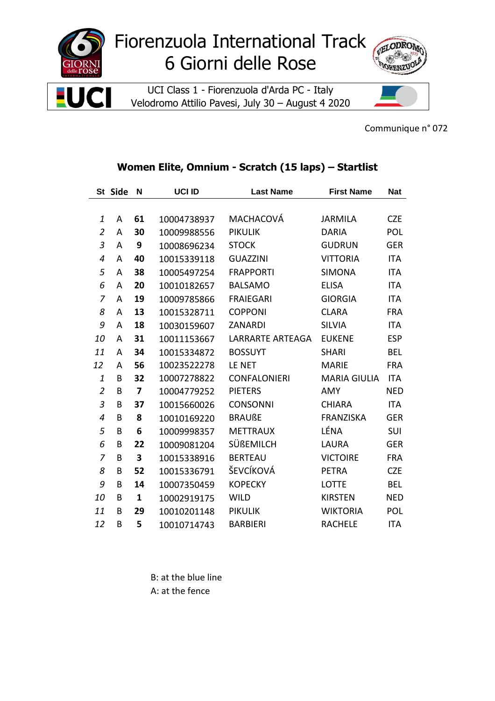



Communique n° 072

## Women Elite, Omnium - Scratch (15 laps) - Startlist

|                | St Side | N                       | <b>UCI ID</b> | <b>Last Name</b>        | <b>First Name</b>   | <b>Nat</b> |
|----------------|---------|-------------------------|---------------|-------------------------|---------------------|------------|
|                |         |                         |               |                         |                     |            |
| 1              | A       | 61                      | 10004738937   | MACHACOVÁ               | <b>JARMILA</b>      | <b>CZE</b> |
| $\overline{2}$ | A       | 30                      | 10009988556   | <b>PIKULIK</b>          | <b>DARIA</b>        | POL        |
| 3              | A       | 9                       | 10008696234   | <b>STOCK</b>            | <b>GUDRUN</b>       | <b>GER</b> |
| 4              | A       | 40                      | 10015339118   | <b>GUAZZINI</b>         | <b>VITTORIA</b>     | ITA        |
| 5              | A       | 38                      | 10005497254   | <b>FRAPPORTI</b>        | <b>SIMONA</b>       | ITA        |
| 6              | A       | 20                      | 10010182657   | <b>BALSAMO</b>          | <b>ELISA</b>        | <b>ITA</b> |
| 7              | A       | 19                      | 10009785866   | <b>FRAIEGARI</b>        | <b>GIORGIA</b>      | <b>ITA</b> |
| 8              | A       | 13                      | 10015328711   | <b>COPPONI</b>          | <b>CLARA</b>        | <b>FRA</b> |
| 9              | A       | 18                      | 10030159607   | <b>ZANARDI</b>          | <b>SILVIA</b>       | <b>ITA</b> |
| 10             | A       | 31                      | 10011153667   | <b>LARRARTE ARTEAGA</b> | <b>EUKENE</b>       | <b>ESP</b> |
| 11             | A       | 34                      | 10015334872   | <b>BOSSUYT</b>          | <b>SHARI</b>        | <b>BEL</b> |
| 12             | A       | 56                      | 10023522278   | LE NET                  | <b>MARIE</b>        | <b>FRA</b> |
| $\mathbf{1}$   | B       | 32                      | 10007278822   | <b>CONFALONIERI</b>     | <b>MARIA GIULIA</b> | <b>ITA</b> |
| $\overline{2}$ | B       | $\overline{\mathbf{z}}$ | 10004779252   | <b>PIETERS</b>          | <b>AMY</b>          | <b>NED</b> |
| 3              | B       | 37                      | 10015660026   | <b>CONSONNI</b>         | <b>CHIARA</b>       | <b>ITA</b> |
| 4              | B       | 8                       | 10010169220   | <b>BRAUßE</b>           | <b>FRANZISKA</b>    | <b>GER</b> |
| 5              | B       | 6                       | 10009998357   | <b>METTRAUX</b>         | LÉNA                | SUI        |
| 6              | В       | 22                      | 10009081204   | SÜßEMILCH               | <b>LAURA</b>        | <b>GER</b> |
| 7              | B       | 3                       | 10015338916   | <b>BERTEAU</b>          | <b>VICTOIRE</b>     | <b>FRA</b> |
| 8              | B       | 52                      | 10015336791   | ŠEVCÍKOVÁ               | <b>PETRA</b>        | <b>CZE</b> |
| 9              | B       | 14                      | 10007350459   | <b>KOPECKY</b>          | <b>LOTTE</b>        | <b>BEL</b> |
| 10             | B       | $\mathbf{1}$            | 10002919175   | <b>WILD</b>             | <b>KIRSTEN</b>      | <b>NED</b> |
| 11             | B       | 29                      | 10010201148   | <b>PIKULIK</b>          | <b>WIKTORIA</b>     | POL        |
| 12             | B       | 5                       | 10010714743   | <b>BARBIERI</b>         | <b>RACHELE</b>      | <b>ITA</b> |

B: at the blue line A: at the fence